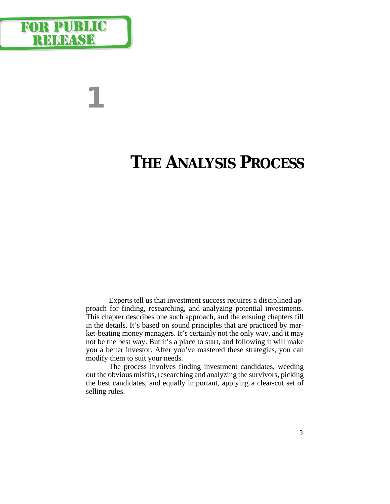# **FOR PUBLIC** REFERE

**1**

# **THE ANALYSIS PROCESS**

Experts tell us that investment success requires a disciplined approach for finding, researching, and analyzing potential investments. This chapter describes one such approach, and the ensuing chapters fill in the details. It's based on sound principles that are practiced by market-beating money managers. It's certainly not the only way, and it may not be the best way. But it's a place to start, and following it will make you a better investor. After you've mastered these strategies, you can modify them to suit your needs.

The process involves finding investment candidates, weeding out the obvious misfits, researching and analyzing the survivors, picking the best candidates, and equally important, applying a clear-cut set of selling rules.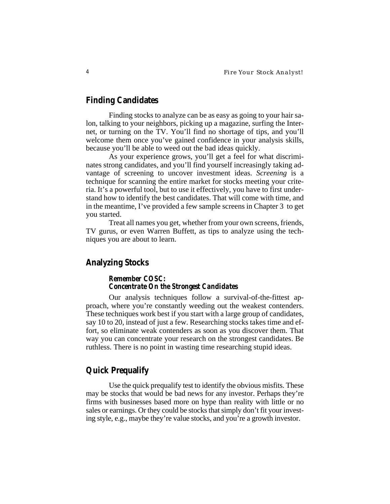# **Finding Candidates**

Finding stocks to analyze can be as easy as going to your hair salon, talking to your neighbors, picking up a magazine, surfing the Internet, or turning on the TV. You'll find no shortage of tips, and you'll welcome them once you've gained confidence in your analysis skills, because you'll be able to weed out the bad ideas quickly.

As your experience grows, you'll get a feel for what discriminates strong candidates, and you'll find yourself increasingly taking advantage of screening to uncover investment ideas. *Screening* is a technique for scanning the entire market for stocks meeting your criteria. It's a powerful tool, but to use it effectively, you have to first understand how to identify the best candidates. That will come with time, and in the meantime, I've provided a few sample screens in Chapter 3 to get you started.

Treat all names you get, whether from your own screens, friends, TV gurus, or even Warren Buffett, as tips to analyze using the techniques you are about to learn.

# **Analyzing Stocks**

#### *Remember COSC: Concentrate On the Strongest Candidates*

Our analysis techniques follow a survival-of-the-fittest approach, where you're constantly weeding out the weakest contenders. These techniques work best if you start with a large group of candidates, say 10 to 20, instead of just a few. Researching stocks takes time and effort, so eliminate weak contenders as soon as you discover them. That way you can concentrate your research on the strongest candidates. Be ruthless. There is no point in wasting time researching stupid ideas.

# **Quick Prequalify**

Use the quick prequalify test to identify the obvious misfits. These may be stocks that would be bad news for any investor. Perhaps they're firms with businesses based more on hype than reality with little or no sales or earnings. Or they could be stocks that simply don't fit your investing style, e.g., maybe they're value stocks, and you're a growth investor.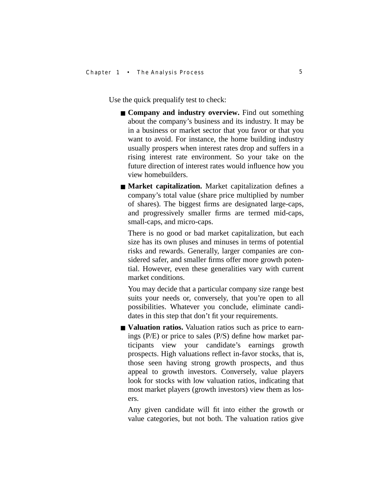Use the quick prequalify test to check:

- **Company and industry overview.** Find out something about the company's business and its industry. It may be in a business or market sector that you favor or that you want to avoid. For instance, the home building industry usually prospers when interest rates drop and suffers in a rising interest rate environment. So your take on the future direction of interest rates would influence how you view homebuilders.
- **Market capitalization.** Market capitalization defines a company's total value (share price multiplied by number of shares). The biggest firms are designated large-caps, and progressively smaller firms are termed mid-caps, small-caps, and micro-caps.

There is no good or bad market capitalization, but each size has its own pluses and minuses in terms of potential risks and rewards. Generally, larger companies are considered safer, and smaller firms offer more growth potential. However, even these generalities vary with current market conditions.

You may decide that a particular company size range best suits your needs or, conversely, that you're open to all possibilities. Whatever you conclude, eliminate candidates in this step that don't fit your requirements.

■ **Valuation ratios.** Valuation ratios such as price to earnings (P/E) or price to sales (P/S) define how market participants view your candidate's earnings growth prospects. High valuations reflect in-favor stocks, that is, those seen having strong growth prospects, and thus appeal to growth investors. Conversely, value players look for stocks with low valuation ratios, indicating that most market players (growth investors) view them as losers.

Any given candidate will fit into either the growth or value categories, but not both. The valuation ratios give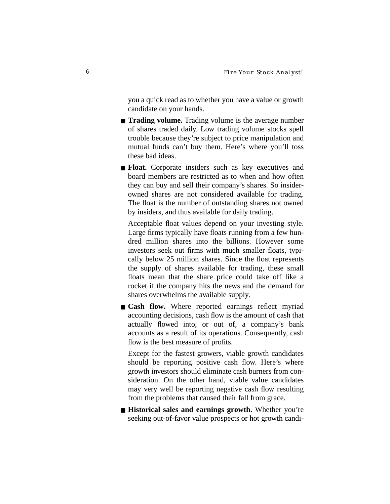you a quick read as to whether you have a value or growth candidate on your hands.

- **Trading volume.** Trading volume is the average number of shares traded daily. Low trading volume stocks spell trouble because they're subject to price manipulation and mutual funds can't buy them. Here's where you'll toss these bad ideas.
- **Float.** Corporate insiders such as key executives and board members are restricted as to when and how often they can buy and sell their company's shares. So insiderowned shares are not considered available for trading. The float is the number of outstanding shares not owned by insiders, and thus available for daily trading.

Acceptable float values depend on your investing style. Large firms typically have floats running from a few hundred million shares into the billions. However some investors seek out firms with much smaller floats, typically below 25 million shares. Since the float represents the supply of shares available for trading, these small floats mean that the share price could take off like a rocket if the company hits the news and the demand for shares overwhelms the available supply.

■ **Cash flow.** Where reported earnings reflect myriad accounting decisions, cash flow is the amount of cash that actually flowed into, or out of, a company's bank accounts as a result of its operations. Consequently, cash flow is the best measure of profits.

Except for the fastest growers, viable growth candidates should be reporting positive cash flow. Here's where growth investors should eliminate cash burners from consideration. On the other hand, viable value candidates may very well be reporting negative cash flow resulting from the problems that caused their fall from grace.

■ **Historical sales and earnings growth.** Whether you're seeking out-of-favor value prospects or hot growth candi-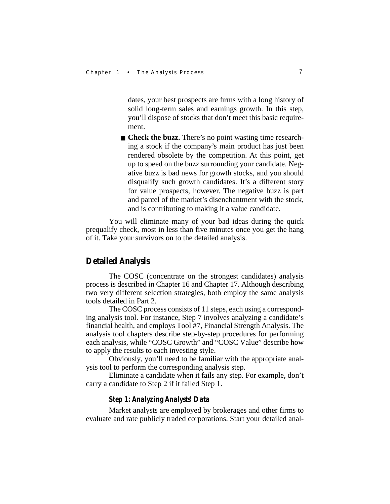dates, your best prospects are firms with a long history of solid long-term sales and earnings growth. In this step, you'll dispose of stocks that don't meet this basic requirement.

■ **Check the buzz.** There's no point wasting time researching a stock if the company's main product has just been rendered obsolete by the competition. At this point, get up to speed on the buzz surrounding your candidate. Negative buzz is bad news for growth stocks, and you should disqualify such growth candidates. It's a different story for value prospects, however. The negative buzz is part and parcel of the market's disenchantment with the stock, and is contributing to making it a value candidate.

You will eliminate many of your bad ideas during the quick prequalify check, most in less than five minutes once you get the hang of it. Take your survivors on to the detailed analysis.

# **Detailed Analysis**

The COSC (concentrate on the strongest candidates) analysis process is described in Chapter 16 and Chapter 17. Although describing two very different selection strategies, both employ the same analysis tools detailed in Part 2.

The COSC process consists of 11 steps, each using a corresponding analysis tool. For instance, Step 7 involves analyzing a candidate's financial health, and employs Tool #7, Financial Strength Analysis. The analysis tool chapters describe step-by-step procedures for performing each analysis, while "COSC Growth" and "COSC Value" describe how to apply the results to each investing style.

Obviously, you'll need to be familiar with the appropriate analysis tool to perform the corresponding analysis step.

Eliminate a candidate when it fails any step. For example, don't carry a candidate to Step 2 if it failed Step 1.

#### *Step 1: Analyzing Analysts' Data*

Market analysts are employed by brokerages and other firms to evaluate and rate publicly traded corporations. Start your detailed anal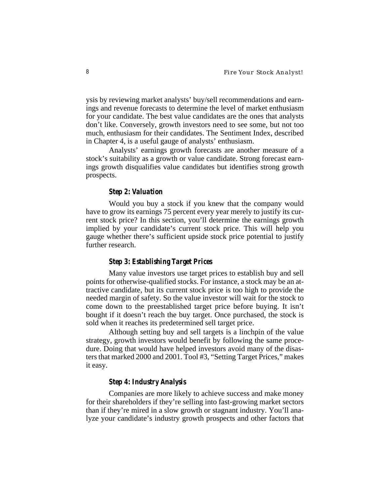ysis by reviewing market analysts' buy/sell recommendations and earnings and revenue forecasts to determine the level of market enthusiasm for your candidate. The best value candidates are the ones that analysts don't like. Conversely, growth investors need to see some, but not too much, enthusiasm for their candidates. The Sentiment Index, described in Chapter 4, is a useful gauge of analysts' enthusiasm.

Analysts' earnings growth forecasts are another measure of a stock's suitability as a growth or value candidate. Strong forecast earnings growth disqualifies value candidates but identifies strong growth prospects.

#### *Step 2: Valuation*

Would you buy a stock if you knew that the company would have to grow its earnings 75 percent every year merely to justify its current stock price? In this section, you'll determine the earnings growth implied by your candidate's current stock price. This will help you gauge whether there's sufficient upside stock price potential to justify further research.

#### *Step 3: Establishing Target Prices*

Many value investors use target prices to establish buy and sell points for otherwise-qualified stocks. For instance, a stock may be an attractive candidate, but its current stock price is too high to provide the needed margin of safety. So the value investor will wait for the stock to come down to the preestablished target price before buying. It isn't bought if it doesn't reach the buy target. Once purchased, the stock is sold when it reaches its predetermined sell target price.

Although setting buy and sell targets is a linchpin of the value strategy, growth investors would benefit by following the same procedure. Doing that would have helped investors avoid many of the disasters that marked 2000 and 2001. Tool #3, "Setting Target Prices," makes it easy.

#### *Step 4: Industry Analysis*

Companies are more likely to achieve success and make money for their shareholders if they're selling into fast-growing market sectors than if they're mired in a slow growth or stagnant industry. You'll analyze your candidate's industry growth prospects and other factors that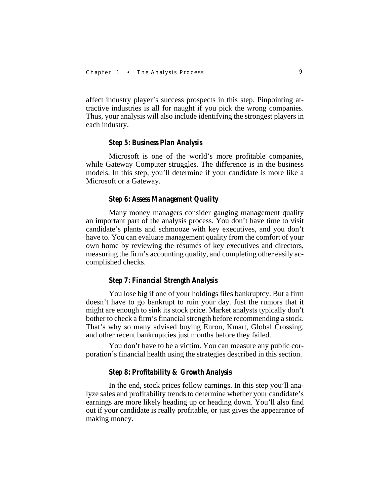affect industry player's success prospects in this step. Pinpointing attractive industries is all for naught if you pick the wrong companies. Thus, your analysis will also include identifying the strongest players in each industry.

#### *Step 5: Business Plan Analysis*

Microsoft is one of the world's more profitable companies, while Gateway Computer struggles. The difference is in the business models. In this step, you'll determine if your candidate is more like a Microsoft or a Gateway.

## *Step 6: Assess Management Quality*

Many money managers consider gauging management quality an important part of the analysis process. You don't have time to visit candidate's plants and schmooze with key executives, and you don't have to. You can evaluate management quality from the comfort of your own home by reviewing the résumés of key executives and directors, measuring the firm's accounting quality, and completing other easily accomplished checks.

#### *Step 7: Financial Strength Analysis*

You lose big if one of your holdings files bankruptcy. But a firm doesn't have to go bankrupt to ruin your day. Just the rumors that it might are enough to sink its stock price. Market analysts typically don't bother to check a firm's financial strength before recommending a stock. That's why so many advised buying Enron, Kmart, Global Crossing, and other recent bankruptcies just months before they failed.

You don't have to be a victim. You can measure any public corporation's financial health using the strategies described in this section.

#### *Step 8: Profitability & Growth Analysis*

In the end, stock prices follow earnings. In this step you'll analyze sales and profitability trends to determine whether your candidate's earnings are more likely heading up or heading down. You'll also find out if your candidate is really profitable, or just gives the appearance of making money.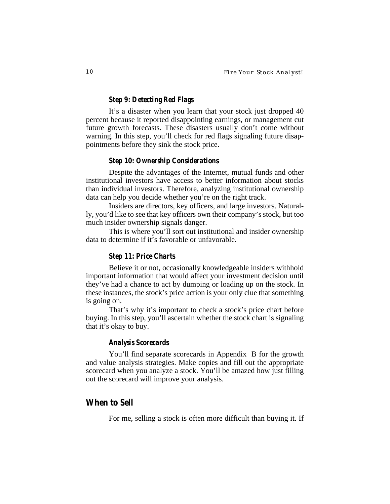#### *Step 9: Detecting Red Flags*

It's a disaster when you learn that your stock just dropped 40 percent because it reported disappointing earnings, or management cut future growth forecasts. These disasters usually don't come without warning. In this step, you'll check for red flags signaling future disappointments before they sink the stock price.

#### *Step 10: Ownership Considerations*

Despite the advantages of the Internet, mutual funds and other institutional investors have access to better information about stocks than individual investors. Therefore, analyzing institutional ownership data can help you decide whether you're on the right track.

Insiders are directors, key officers, and large investors. Naturally, you'd like to see that key officers own their company's stock, but too much insider ownership signals danger.

This is where you'll sort out institutional and insider ownership data to determine if it's favorable or unfavorable.

#### *Step 11: Price Charts*

Believe it or not, occasionally knowledgeable insiders withhold important information that would affect your investment decision until they've had a chance to act by dumping or loading up on the stock. In these instances, the stock's price action is your only clue that something is going on.

That's why it's important to check a stock's price chart before buying. In this step, you'll ascertain whether the stock chart is signaling that it's okay to buy.

#### *Analysis Scorecards*

You'll find separate scorecards in Appendix B for the growth and value analysis strategies. Make copies and fill out the appropriate scorecard when you analyze a stock. You'll be amazed how just filling out the scorecard will improve your analysis.

## **When to Sell**

For me, selling a stock is often more difficult than buying it. If